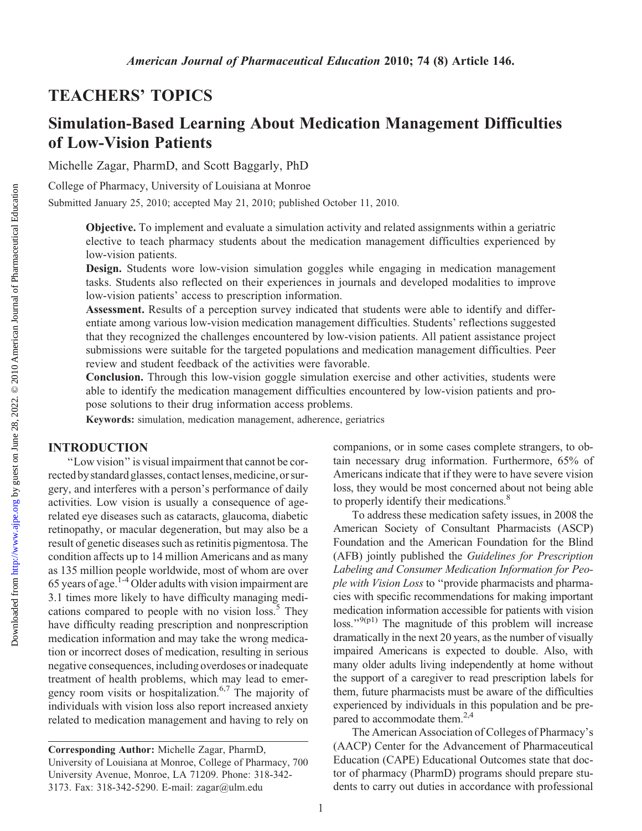# TEACHERS' TOPICS

# Simulation-Based Learning About Medication Management Difficulties of Low-Vision Patients

Michelle Zagar, PharmD, and Scott Baggarly, PhD

College of Pharmacy, University of Louisiana at Monroe

Submitted January 25, 2010; accepted May 21, 2010; published October 11, 2010.

Objective. To implement and evaluate a simulation activity and related assignments within a geriatric elective to teach pharmacy students about the medication management difficulties experienced by low-vision patients.

Design. Students wore low-vision simulation goggles while engaging in medication management tasks. Students also reflected on their experiences in journals and developed modalities to improve low-vision patients' access to prescription information.

Assessment. Results of a perception survey indicated that students were able to identify and differentiate among various low-vision medication management difficulties. Students' reflections suggested that they recognized the challenges encountered by low-vision patients. All patient assistance project submissions were suitable for the targeted populations and medication management difficulties. Peer review and student feedback of the activities were favorable.

Conclusion. Through this low-vision goggle simulation exercise and other activities, students were able to identify the medication management difficulties encountered by low-vision patients and propose solutions to their drug information access problems.

Keywords: simulation, medication management, adherence, geriatrics

#### INTRODUCTION

''Low vision'' is visual impairment that cannot be corrected by standard glasses, contact lenses, medicine, or surgery, and interferes with a person's performance of daily activities. Low vision is usually a consequence of agerelated eye diseases such as cataracts, glaucoma, diabetic retinopathy, or macular degeneration, but may also be a result of genetic diseases such as retinitis pigmentosa. The condition affects up to 14 million Americans and as many as 135 million people worldwide, most of whom are over 65 years of age.1-4 Older adults with vision impairment are 3.1 times more likely to have difficulty managing medications compared to people with no vision  $loss^5$ . They have difficulty reading prescription and nonprescription medication information and may take the wrong medication or incorrect doses of medication, resulting in serious negative consequences, including overdoses or inadequate treatment of health problems, which may lead to emergency room visits or hospitalization.<sup>6,7</sup> The majority of individuals with vision loss also report increased anxiety related to medication management and having to rely on companions, or in some cases complete strangers, to obtain necessary drug information. Furthermore, 65% of Americans indicate that if they were to have severe vision loss, they would be most concerned about not being able to properly identify their medications.<sup>8</sup>

To address these medication safety issues, in 2008 the American Society of Consultant Pharmacists (ASCP) Foundation and the American Foundation for the Blind (AFB) jointly published the Guidelines for Prescription Labeling and Consumer Medication Information for People with Vision Loss to ''provide pharmacists and pharmacies with specific recommendations for making important medication information accessible for patients with vision  $loss.^{9(p1)}$  The magnitude of this problem will increase dramatically in the next 20 years, as the number of visually impaired Americans is expected to double. Also, with many older adults living independently at home without the support of a caregiver to read prescription labels for them, future pharmacists must be aware of the difficulties experienced by individuals in this population and be prepared to accommodate them.<sup>2,4</sup>

The American Association of Colleges of Pharmacy's (AACP) Center for the Advancement of Pharmaceutical Education (CAPE) Educational Outcomes state that doctor of pharmacy (PharmD) programs should prepare students to carry out duties in accordance with professional

Corresponding Author: Michelle Zagar, PharmD, University of Louisiana at Monroe, College of Pharmacy, 700 University Avenue, Monroe, LA 71209. Phone: 318-342- 3173. Fax: 318-342-5290. E-mail: zagar@ulm.edu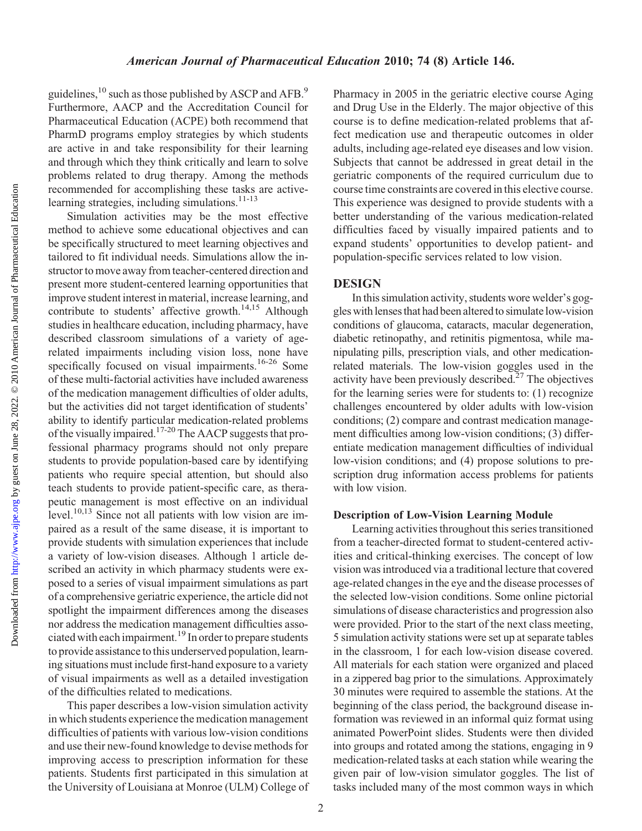Downloaded from

guidelines,<sup>10</sup> such as those published by ASCP and AFB.<sup>9</sup> Furthermore, AACP and the Accreditation Council for Pharmaceutical Education (ACPE) both recommend that PharmD programs employ strategies by which students are active in and take responsibility for their learning and through which they think critically and learn to solve problems related to drug therapy. Among the methods recommended for accomplishing these tasks are activelearning strategies, including simulations.<sup>11-13</sup>

Simulation activities may be the most effective method to achieve some educational objectives and can be specifically structured to meet learning objectives and tailored to fit individual needs. Simulations allow the instructor to move away from teacher-centered direction and present more student-centered learning opportunities that improve student interest in material, increase learning, and contribute to students' affective growth. $14,15$  Although studies in healthcare education, including pharmacy, have described classroom simulations of a variety of agerelated impairments including vision loss, none have specifically focused on visual impairments.<sup>16-26</sup> Some of these multi-factorial activities have included awareness of the medication management difficulties of older adults, but the activities did not target identification of students' ability to identify particular medication-related problems of the visually impaired.<sup>17-20</sup> The AACP suggests that professional pharmacy programs should not only prepare students to provide population-based care by identifying patients who require special attention, but should also teach students to provide patient-specific care, as therapeutic management is most effective on an individual level.10,13 Since not all patients with low vision are impaired as a result of the same disease, it is important to provide students with simulation experiences that include a variety of low-vision diseases. Although 1 article described an activity in which pharmacy students were exposed to a series of visual impairment simulations as part of a comprehensive geriatric experience, the article did not spotlight the impairment differences among the diseases nor address the medication management difficulties associated with each impairment.19 In order to prepare students to provide assistance to this underserved population, learning situations must include first-hand exposure to a variety of visual impairments as well as a detailed investigation of the difficulties related to medications.

This paper describes a low-vision simulation activity in which students experience the medication management difficulties of patients with various low-vision conditions and use their new-found knowledge to devise methods for improving access to prescription information for these patients. Students first participated in this simulation at the University of Louisiana at Monroe (ULM) College of

Pharmacy in 2005 in the geriatric elective course Aging and Drug Use in the Elderly. The major objective of this course is to define medication-related problems that affect medication use and therapeutic outcomes in older adults, including age-related eye diseases and low vision. Subjects that cannot be addressed in great detail in the geriatric components of the required curriculum due to course time constraints are covered in this elective course. This experience was designed to provide students with a better understanding of the various medication-related difficulties faced by visually impaired patients and to expand students' opportunities to develop patient- and population-specific services related to low vision.

## DESIGN

In this simulation activity, students wore welder's goggles with lenses that had been altered to simulate low-vision conditions of glaucoma, cataracts, macular degeneration, diabetic retinopathy, and retinitis pigmentosa, while manipulating pills, prescription vials, and other medicationrelated materials. The low-vision goggles used in the activity have been previously described.<sup>27</sup> The objectives for the learning series were for students to: (1) recognize challenges encountered by older adults with low-vision conditions; (2) compare and contrast medication management difficulties among low-vision conditions; (3) differentiate medication management difficulties of individual low-vision conditions; and (4) propose solutions to prescription drug information access problems for patients with low vision.

#### Description of Low-Vision Learning Module

Learning activities throughout this series transitioned from a teacher-directed format to student-centered activities and critical-thinking exercises. The concept of low vision was introduced via a traditional lecture that covered age-related changes in the eye and the disease processes of the selected low-vision conditions. Some online pictorial simulations of disease characteristics and progression also were provided. Prior to the start of the next class meeting, 5 simulation activity stations were set up at separate tables in the classroom, 1 for each low-vision disease covered. All materials for each station were organized and placed in a zippered bag prior to the simulations. Approximately 30 minutes were required to assemble the stations. At the beginning of the class period, the background disease information was reviewed in an informal quiz format using animated PowerPoint slides. Students were then divided into groups and rotated among the stations, engaging in 9 medication-related tasks at each station while wearing the given pair of low-vision simulator goggles. The list of tasks included many of the most common ways in which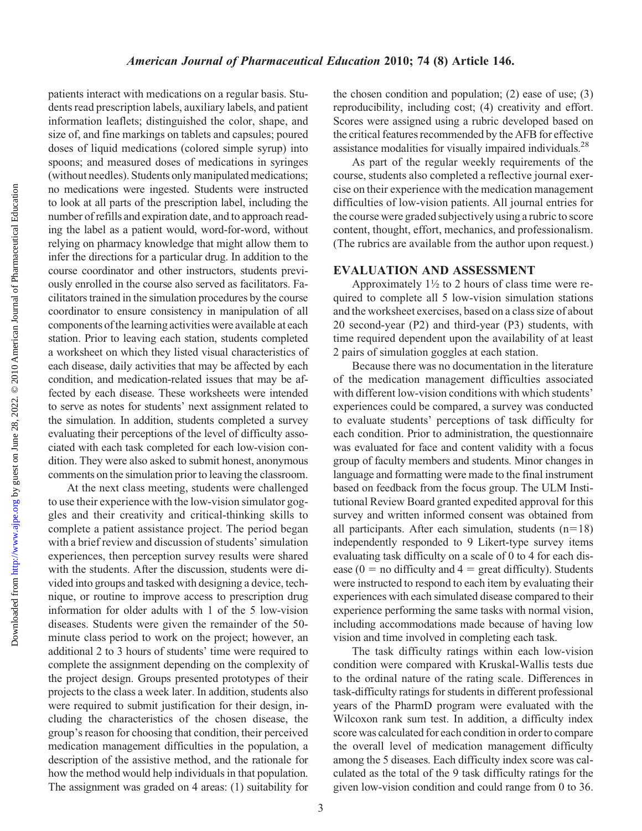Downloaded from http://www.ajpe.org by guest on June 28, 2022. © 2010 American Journal of Pharmaceutical Education by guest on June 28, 2022. © 2010 American Journal of Pharmaceutical Education <http://www.ajpe.org> Downloaded from

patients interact with medications on a regular basis. Students read prescription labels, auxiliary labels, and patient information leaflets; distinguished the color, shape, and size of, and fine markings on tablets and capsules; poured doses of liquid medications (colored simple syrup) into spoons; and measured doses of medications in syringes (without needles). Students only manipulated medications; no medications were ingested. Students were instructed to look at all parts of the prescription label, including the number of refills and expiration date, and to approach reading the label as a patient would, word-for-word, without relying on pharmacy knowledge that might allow them to infer the directions for a particular drug. In addition to the course coordinator and other instructors, students previously enrolled in the course also served as facilitators. Facilitators trained in the simulation procedures by the course coordinator to ensure consistency in manipulation of all components of the learning activities were available at each station. Prior to leaving each station, students completed a worksheet on which they listed visual characteristics of each disease, daily activities that may be affected by each condition, and medication-related issues that may be affected by each disease. These worksheets were intended to serve as notes for students' next assignment related to the simulation. In addition, students completed a survey evaluating their perceptions of the level of difficulty associated with each task completed for each low-vision condition. They were also asked to submit honest, anonymous comments on the simulation prior to leaving the classroom.

At the next class meeting, students were challenged to use their experience with the low-vision simulator goggles and their creativity and critical-thinking skills to complete a patient assistance project. The period began with a brief review and discussion of students' simulation experiences, then perception survey results were shared with the students. After the discussion, students were divided into groups and tasked with designing a device, technique, or routine to improve access to prescription drug information for older adults with 1 of the 5 low-vision diseases. Students were given the remainder of the 50 minute class period to work on the project; however, an additional 2 to 3 hours of students' time were required to complete the assignment depending on the complexity of the project design. Groups presented prototypes of their projects to the class a week later. In addition, students also were required to submit justification for their design, including the characteristics of the chosen disease, the group's reason for choosing that condition, their perceived medication management difficulties in the population, a description of the assistive method, and the rationale for how the method would help individuals in that population. The assignment was graded on 4 areas: (1) suitability for

the chosen condition and population; (2) ease of use; (3) reproducibility, including cost; (4) creativity and effort. Scores were assigned using a rubric developed based on the critical features recommended by the AFB for effective assistance modalities for visually impaired individuals.<sup>28</sup>

As part of the regular weekly requirements of the course, students also completed a reflective journal exercise on their experience with the medication management difficulties of low-vision patients. All journal entries for the course were graded subjectively using a rubric to score content, thought, effort, mechanics, and professionalism. (The rubrics are available from the author upon request.)

#### EVALUATION AND ASSESSMENT

Approximately  $1\frac{1}{2}$  to 2 hours of class time were required to complete all 5 low-vision simulation stations and the worksheet exercises, based on a class size of about 20 second-year (P2) and third-year (P3) students, with time required dependent upon the availability of at least 2 pairs of simulation goggles at each station.

Because there was no documentation in the literature of the medication management difficulties associated with different low-vision conditions with which students' experiences could be compared, a survey was conducted to evaluate students' perceptions of task difficulty for each condition. Prior to administration, the questionnaire was evaluated for face and content validity with a focus group of faculty members and students. Minor changes in language and formatting were made to the final instrument based on feedback from the focus group. The ULM Institutional Review Board granted expedited approval for this survey and written informed consent was obtained from all participants. After each simulation, students  $(n=18)$ independently responded to 9 Likert-type survey items evaluating task difficulty on a scale of 0 to 4 for each disease ( $0 =$  no difficulty and  $4 =$  great difficulty). Students were instructed to respond to each item by evaluating their experiences with each simulated disease compared to their experience performing the same tasks with normal vision, including accommodations made because of having low vision and time involved in completing each task.

The task difficulty ratings within each low-vision condition were compared with Kruskal-Wallis tests due to the ordinal nature of the rating scale. Differences in task-difficulty ratings for students in different professional years of the PharmD program were evaluated with the Wilcoxon rank sum test. In addition, a difficulty index score was calculated for each condition in order to compare the overall level of medication management difficulty among the 5 diseases. Each difficulty index score was calculated as the total of the 9 task difficulty ratings for the given low-vision condition and could range from 0 to 36.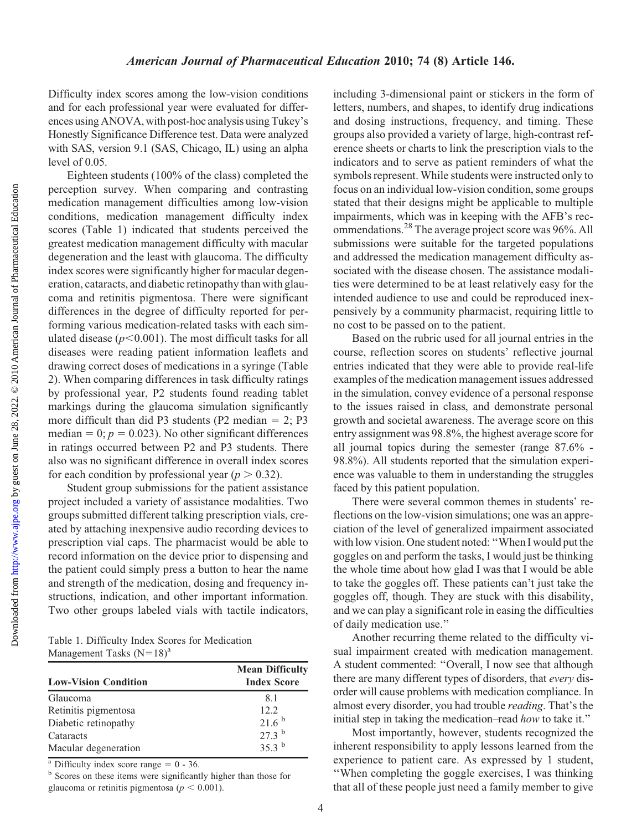Downloaded from

Difficulty index scores among the low-vision conditions and for each professional year were evaluated for differences using ANOVA, with post-hoc analysis using Tukey's Honestly Significance Difference test. Data were analyzed with SAS, version 9.1 (SAS, Chicago, IL) using an alpha level of 0.05.

Eighteen students (100% of the class) completed the perception survey. When comparing and contrasting medication management difficulties among low-vision conditions, medication management difficulty index scores (Table 1) indicated that students perceived the greatest medication management difficulty with macular degeneration and the least with glaucoma. The difficulty index scores were significantly higher for macular degeneration, cataracts, and diabetic retinopathy than with glaucoma and retinitis pigmentosa. There were significant differences in the degree of difficulty reported for performing various medication-related tasks with each simulated disease  $(p<0.001)$ . The most difficult tasks for all diseases were reading patient information leaflets and drawing correct doses of medications in a syringe (Table 2). When comparing differences in task difficulty ratings by professional year, P2 students found reading tablet markings during the glaucoma simulation significantly more difficult than did P3 students (P2 median  $= 2$ ; P3 median = 0;  $p = 0.023$ ). No other significant differences in ratings occurred between P2 and P3 students. There also was no significant difference in overall index scores for each condition by professional year ( $p > 0.32$ ).

Student group submissions for the patient assistance project included a variety of assistance modalities. Two groups submitted different talking prescription vials, created by attaching inexpensive audio recording devices to prescription vial caps. The pharmacist would be able to record information on the device prior to dispensing and the patient could simply press a button to hear the name and strength of the medication, dosing and frequency instructions, indication, and other important information. Two other groups labeled vials with tactile indicators,

Table 1. Difficulty Index Scores for Medication Management Tasks  $(N=18)^a$ 

| <b>Low-Vision Condition</b> | <b>Mean Difficulty</b><br><b>Index Score</b> |  |  |
|-----------------------------|----------------------------------------------|--|--|
| Glaucoma                    | 8.1                                          |  |  |
| Retinitis pigmentosa        | 12.2.                                        |  |  |
| Diabetic retinopathy        | $21.6^{b}$                                   |  |  |
| Cataracts                   | $27.3^{b}$                                   |  |  |
| Macular degeneration        | $35.3^{b}$                                   |  |  |

<sup>a</sup> Difficulty index score range =  $0 - 36$ . b Scores on these items were significantly higher than those for glaucoma or retinitis pigmentosa ( $p < 0.001$ ).

including 3-dimensional paint or stickers in the form of letters, numbers, and shapes, to identify drug indications and dosing instructions, frequency, and timing. These groups also provided a variety of large, high-contrast reference sheets or charts to link the prescription vials to the indicators and to serve as patient reminders of what the symbols represent. While students were instructed only to focus on an individual low-vision condition, some groups stated that their designs might be applicable to multiple impairments, which was in keeping with the AFB's recommendations.28 The average project score was 96%. All submissions were suitable for the targeted populations and addressed the medication management difficulty associated with the disease chosen. The assistance modalities were determined to be at least relatively easy for the intended audience to use and could be reproduced inexpensively by a community pharmacist, requiring little to no cost to be passed on to the patient.

Based on the rubric used for all journal entries in the course, reflection scores on students' reflective journal entries indicated that they were able to provide real-life examples of the medication management issues addressed in the simulation, convey evidence of a personal response to the issues raised in class, and demonstrate personal growth and societal awareness. The average score on this entry assignment was 98.8%, the highest average score for all journal topics during the semester (range 87.6% - 98.8%). All students reported that the simulation experience was valuable to them in understanding the struggles faced by this patient population.

There were several common themes in students' reflections on the low-vision simulations; one was an appreciation of the level of generalized impairment associated with low vision. One student noted: "When I would put the goggles on and perform the tasks, I would just be thinking the whole time about how glad I was that I would be able to take the goggles off. These patients can't just take the goggles off, though. They are stuck with this disability, and we can play a significant role in easing the difficulties of daily medication use.''

Another recurring theme related to the difficulty visual impairment created with medication management. A student commented: ''Overall, I now see that although there are many different types of disorders, that every disorder will cause problems with medication compliance. In almost every disorder, you had trouble reading. That's the initial step in taking the medication–read how to take it.''

Most importantly, however, students recognized the inherent responsibility to apply lessons learned from the experience to patient care. As expressed by 1 student, ''When completing the goggle exercises, I was thinking that all of these people just need a family member to give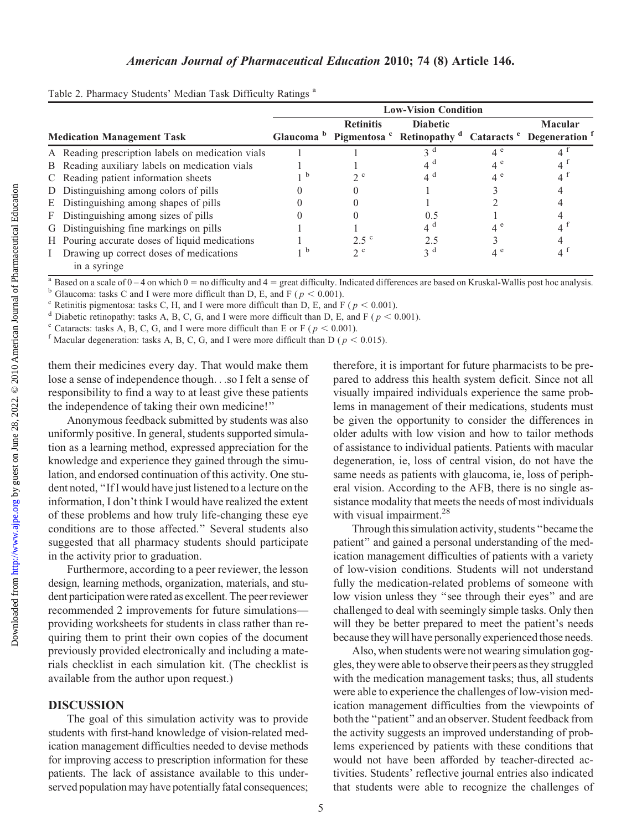|                                   |                                                         | <b>Low-Vision Condition</b> |                 |  |                                                                                                                         |  |  |
|-----------------------------------|---------------------------------------------------------|-----------------------------|-----------------|--|-------------------------------------------------------------------------------------------------------------------------|--|--|
|                                   |                                                         | <b>Retinitis</b>            | <b>Diabetic</b> |  | <b>Macular</b>                                                                                                          |  |  |
| <b>Medication Management Task</b> |                                                         |                             |                 |  | Glaucoma <sup>b</sup> Pigmentosa <sup>c</sup> Retinopathy <sup>d</sup> Cataracts <sup>e</sup> Degeneration <sup>f</sup> |  |  |
|                                   | A Reading prescription labels on medication vials       |                             | 3 <sup>d</sup>  |  |                                                                                                                         |  |  |
|                                   | B Reading auxiliary labels on medication vials          |                             | 4 <sup>d</sup>  |  |                                                                                                                         |  |  |
|                                   | C Reading patient information sheets                    |                             | 4 <sup>d</sup>  |  |                                                                                                                         |  |  |
|                                   | D Distinguishing among colors of pills                  |                             |                 |  |                                                                                                                         |  |  |
|                                   | E Distinguishing among shapes of pills                  |                             |                 |  |                                                                                                                         |  |  |
| F                                 | Distinguishing among sizes of pills                     |                             | 0.5             |  |                                                                                                                         |  |  |
| G                                 | Distinguishing fine markings on pills                   |                             | 4 <sup>d</sup>  |  |                                                                                                                         |  |  |
|                                   | H Pouring accurate doses of liquid medications          |                             | 2.5             |  |                                                                                                                         |  |  |
|                                   | Drawing up correct doses of medications<br>in a syringe |                             | 3 <sup>d</sup>  |  |                                                                                                                         |  |  |

Table 2. Pharmacy Students' Median Task Difficulty Ratings <sup>a</sup>

<sup>a</sup> Based on a scale of 0-4 on which 0 = no difficulty and 4 = great difficulty. Indicated differences are based on Kruskal-Wallis post hoc analysis.<br><sup>b</sup> Glaucoma: tasks C and I were more difficult than D, E, and F ( $p < 0$ 

them their medicines every day. That would make them lose a sense of independence though...so I felt a sense of responsibility to find a way to at least give these patients the independence of taking their own medicine!''

Anonymous feedback submitted by students was also uniformly positive. In general, students supported simulation as a learning method, expressed appreciation for the knowledge and experience they gained through the simulation, and endorsed continuation of this activity. One student noted, ''If I would have just listened to a lecture on the information, I don't think I would have realized the extent of these problems and how truly life-changing these eye conditions are to those affected.'' Several students also suggested that all pharmacy students should participate in the activity prior to graduation.

Furthermore, according to a peer reviewer, the lesson design, learning methods, organization, materials, and student participation were rated as excellent. The peer reviewer recommended 2 improvements for future simulations providing worksheets for students in class rather than requiring them to print their own copies of the document previously provided electronically and including a materials checklist in each simulation kit. (The checklist is available from the author upon request.)

#### DISCUSSION

The goal of this simulation activity was to provide students with first-hand knowledge of vision-related medication management difficulties needed to devise methods for improving access to prescription information for these patients. The lack of assistance available to this underserved population may have potentially fatal consequences;

therefore, it is important for future pharmacists to be prepared to address this health system deficit. Since not all visually impaired individuals experience the same problems in management of their medications, students must be given the opportunity to consider the differences in older adults with low vision and how to tailor methods of assistance to individual patients. Patients with macular degeneration, ie, loss of central vision, do not have the same needs as patients with glaucoma, ie, loss of peripheral vision. According to the AFB, there is no single assistance modality that meets the needs of most individuals with visual impairment.<sup>28</sup>

Through this simulation activity, students ''became the patient'' and gained a personal understanding of the medication management difficulties of patients with a variety of low-vision conditions. Students will not understand fully the medication-related problems of someone with low vision unless they ''see through their eyes'' and are challenged to deal with seemingly simple tasks. Only then will they be better prepared to meet the patient's needs because they will have personally experienced those needs.

Also, when students were not wearing simulation goggles, they were able to observe their peers as they struggled with the medication management tasks; thus, all students were able to experience the challenges of low-vision medication management difficulties from the viewpoints of both the ''patient'' and an observer. Student feedback from the activity suggests an improved understanding of problems experienced by patients with these conditions that would not have been afforded by teacher-directed activities. Students' reflective journal entries also indicated that students were able to recognize the challenges of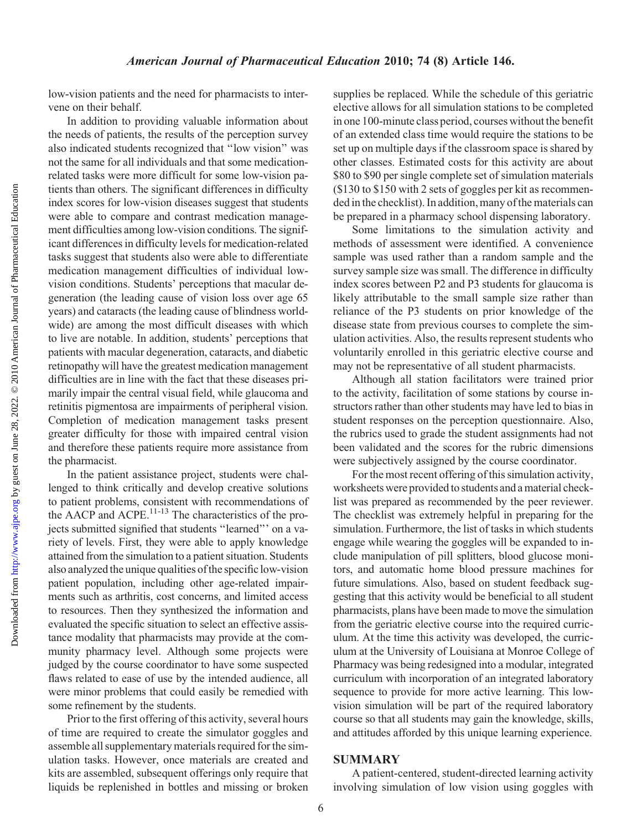low-vision patients and the need for pharmacists to intervene on their behalf.

In addition to providing valuable information about the needs of patients, the results of the perception survey also indicated students recognized that ''low vision'' was not the same for all individuals and that some medicationrelated tasks were more difficult for some low-vision patients than others. The significant differences in difficulty index scores for low-vision diseases suggest that students were able to compare and contrast medication management difficulties among low-vision conditions. The significant differences in difficulty levels for medication-related tasks suggest that students also were able to differentiate medication management difficulties of individual lowvision conditions. Students' perceptions that macular degeneration (the leading cause of vision loss over age 65 years) and cataracts (the leading cause of blindness worldwide) are among the most difficult diseases with which to live are notable. In addition, students' perceptions that patients with macular degeneration, cataracts, and diabetic retinopathy will have the greatest medication management difficulties are in line with the fact that these diseases primarily impair the central visual field, while glaucoma and retinitis pigmentosa are impairments of peripheral vision. Completion of medication management tasks present greater difficulty for those with impaired central vision and therefore these patients require more assistance from the pharmacist.

In the patient assistance project, students were challenged to think critically and develop creative solutions to patient problems, consistent with recommendations of the AACP and ACPE.<sup>11-13</sup> The characteristics of the projects submitted signified that students ''learned''' on a variety of levels. First, they were able to apply knowledge attained from the simulation to a patient situation. Students also analyzed the unique qualities of the specific low-vision patient population, including other age-related impairments such as arthritis, cost concerns, and limited access to resources. Then they synthesized the information and evaluated the specific situation to select an effective assistance modality that pharmacists may provide at the community pharmacy level. Although some projects were judged by the course coordinator to have some suspected flaws related to ease of use by the intended audience, all were minor problems that could easily be remedied with some refinement by the students.

Prior to the first offering of this activity, several hours of time are required to create the simulator goggles and assemble all supplementary materials required for the simulation tasks. However, once materials are created and kits are assembled, subsequent offerings only require that liquids be replenished in bottles and missing or broken supplies be replaced. While the schedule of this geriatric elective allows for all simulation stations to be completed in one 100-minute class period, courses without the benefit of an extended class time would require the stations to be set up on multiple days if the classroom space is shared by other classes. Estimated costs for this activity are about \$80 to \$90 per single complete set of simulation materials (\$130 to \$150 with 2 sets of goggles per kit as recommended in the checklist). In addition, many of the materials can be prepared in a pharmacy school dispensing laboratory.

Some limitations to the simulation activity and methods of assessment were identified. A convenience sample was used rather than a random sample and the survey sample size was small. The difference in difficulty index scores between P2 and P3 students for glaucoma is likely attributable to the small sample size rather than reliance of the P3 students on prior knowledge of the disease state from previous courses to complete the simulation activities. Also, the results represent students who voluntarily enrolled in this geriatric elective course and may not be representative of all student pharmacists.

Although all station facilitators were trained prior to the activity, facilitation of some stations by course instructors rather than other students may have led to bias in student responses on the perception questionnaire. Also, the rubrics used to grade the student assignments had not been validated and the scores for the rubric dimensions were subjectively assigned by the course coordinator.

For the most recent offering of this simulation activity, worksheets were provided to students and a material checklist was prepared as recommended by the peer reviewer. The checklist was extremely helpful in preparing for the simulation. Furthermore, the list of tasks in which students engage while wearing the goggles will be expanded to include manipulation of pill splitters, blood glucose monitors, and automatic home blood pressure machines for future simulations. Also, based on student feedback suggesting that this activity would be beneficial to all student pharmacists, plans have been made to move the simulation from the geriatric elective course into the required curriculum. At the time this activity was developed, the curriculum at the University of Louisiana at Monroe College of Pharmacy was being redesigned into a modular, integrated curriculum with incorporation of an integrated laboratory sequence to provide for more active learning. This lowvision simulation will be part of the required laboratory course so that all students may gain the knowledge, skills, and attitudes afforded by this unique learning experience.

#### SUMMARY

A patient-centered, student-directed learning activity involving simulation of low vision using goggles with